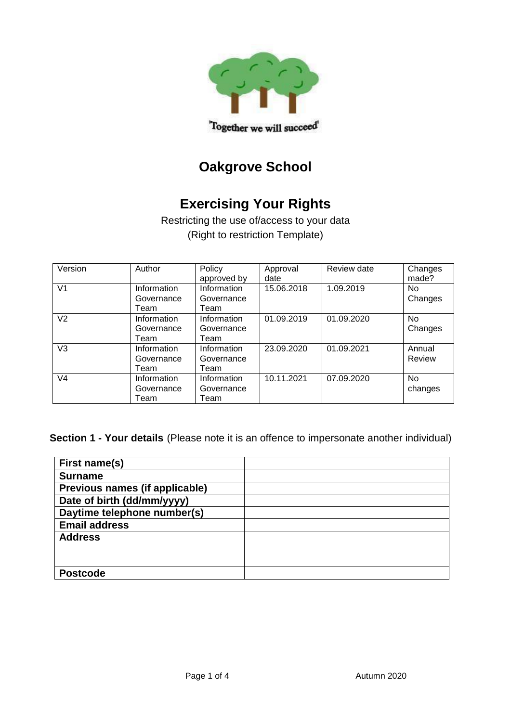

# **Oakgrove School**

# **Exercising Your Rights**

Restricting the use of/access to your data (Right to restriction Template)

| Version        | Author                            | Policy<br>approved by             | Approval<br>date | Review date | Changes<br>made?     |
|----------------|-----------------------------------|-----------------------------------|------------------|-------------|----------------------|
| V <sub>1</sub> | Information<br>Governance<br>Team | Information<br>Governance<br>Team | 15.06.2018       | 1.09.2019   | <b>No</b><br>Changes |
| V <sub>2</sub> | Information<br>Governance<br>Team | Information<br>Governance<br>Team | 01.09.2019       | 01.09.2020  | <b>No</b><br>Changes |
| V <sub>3</sub> | Information<br>Governance<br>Team | Information<br>Governance<br>Team | 23.09.2020       | 01.09.2021  | Annual<br>Review     |
| V <sub>4</sub> | Information<br>Governance<br>Team | Information<br>Governance<br>Team | 10.11.2021       | 07.09.2020  | <b>No</b><br>changes |

**Section 1 - Your details** (Please note it is an offence to impersonate another individual)

| First name(s)                  |  |
|--------------------------------|--|
| <b>Surname</b>                 |  |
| Previous names (if applicable) |  |
| Date of birth (dd/mm/yyyy)     |  |
| Daytime telephone number(s)    |  |
| <b>Email address</b>           |  |
| <b>Address</b>                 |  |
|                                |  |
|                                |  |
| <b>Postcode</b>                |  |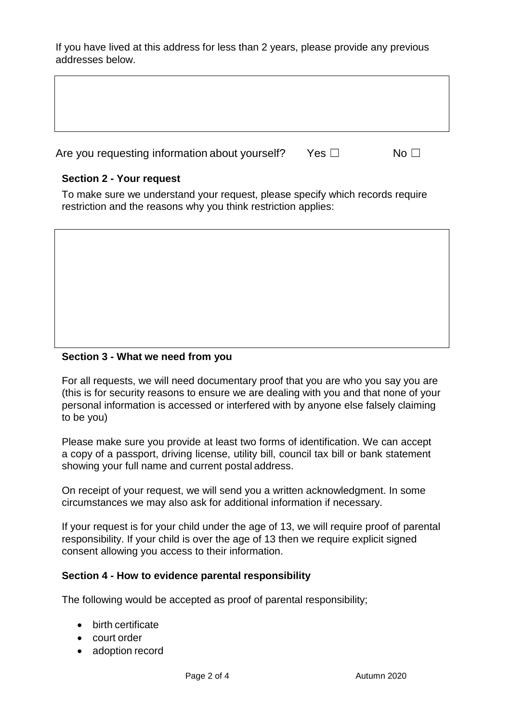If you have lived at this address for less than 2 years, please provide any previous addresses below.

| Are you requesting information about yourself? | Yes □ | No Li |
|------------------------------------------------|-------|-------|

## **Section 2 - Your request**

To make sure we understand your request, please specify which records require restriction and the reasons why you think restriction applies:

## **Section 3 - What we need from you**

For all requests, we will need documentary proof that you are who you say you are (this is for security reasons to ensure we are dealing with you and that none of your personal information is accessed or interfered with by anyone else falsely claiming to be you)

Please make sure you provide at least two forms of identification. We can accept a copy of a passport, driving license, utility bill, council tax bill or bank statement showing your full name and current postal address.

On receipt of your request, we will send you a written acknowledgment. In some circumstances we may also ask for additional information if necessary.

If your request is for your child under the age of 13, we will require proof of parental responsibility. If your child is over the age of 13 then we require explicit signed consent allowing you access to their information.

### **Section 4 - How to evidence parental responsibility**

The following would be accepted as proof of parental responsibility;

- birth certificate
- court order
- adoption record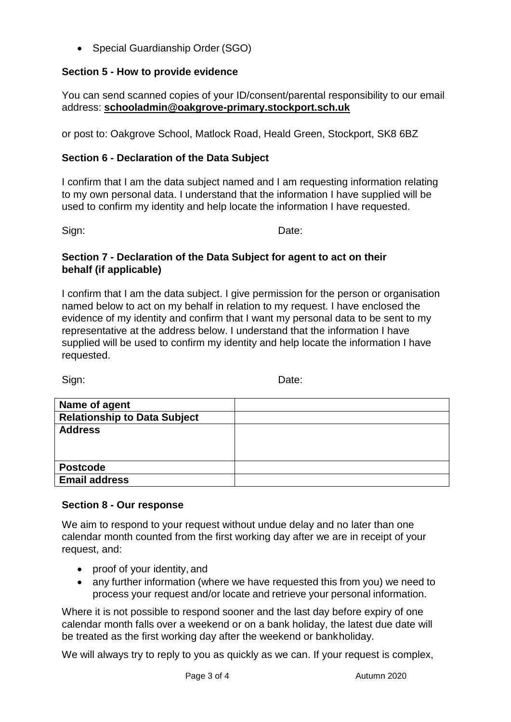• Special Guardianship Order (SGO)

### **Section 5 - How to provide evidence**

You can send scanned copies of your ID/consent/parental responsibility to our email address: **[schooladmin@oakgrove-primary.stockport.sch.uk](mailto:schooladmin@oakgrove-primary.stockport.sch.uk)** 

or post to: Oakgrove School, Matlock Road, Heald Green, Stockport, SK8 6BZ

### **Section 6 - Declaration of the Data Subject**

I confirm that I am the data subject named and I am requesting information relating to my own personal data. I understand that the information I have supplied will be used to confirm my identity and help locate the information I have requested.

Sign: **Date:** Date:

#### **Section 7 - Declaration of the Data Subject for agent to act on their behalf (if applicable)**

I confirm that I am the data subject. I give permission for the person or organisation named below to act on my behalf in relation to my request. I have enclosed the evidence of my identity and confirm that I want my personal data to be sent to my representative at the address below. I understand that the information I have supplied will be used to confirm my identity and help locate the information I have requested.

Sign: **Date:** Date:

| Name of agent                       |  |
|-------------------------------------|--|
| <b>Relationship to Data Subject</b> |  |
| <b>Address</b>                      |  |
|                                     |  |
|                                     |  |
| <b>Postcode</b>                     |  |
| <b>Email address</b>                |  |

#### **Section 8 - Our response**

We aim to respond to your request without undue delay and no later than one calendar month counted from the first working day after we are in receipt of your request, and:

- proof of your identity, and
- any further information (where we have requested this from you) we need to process your request and/or locate and retrieve your personal information.

Where it is not possible to respond sooner and the last day before expiry of one calendar month falls over a weekend or on a bank holiday, the latest due date will be treated as the first working day after the weekend or bankholiday.

We will always try to reply to you as quickly as we can. If your request is complex,